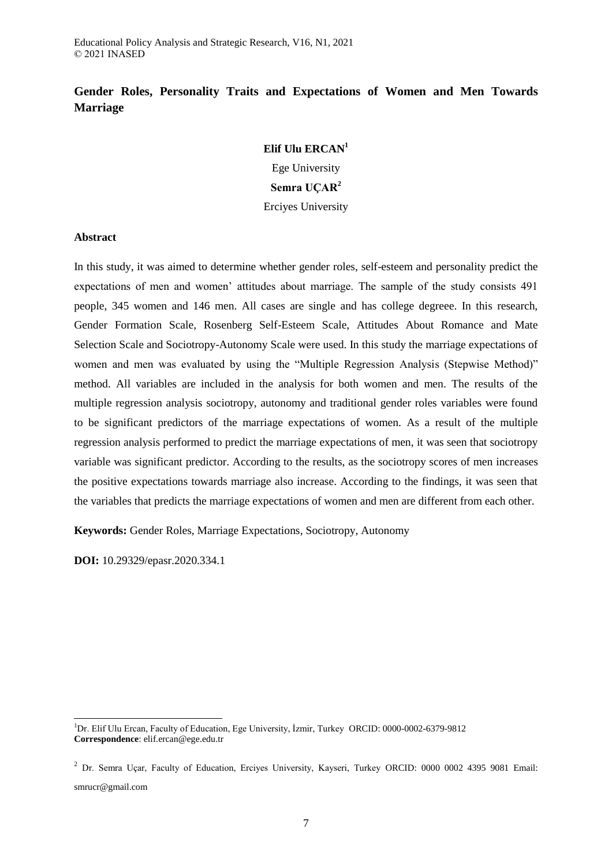## **Gender Roles, Personality Traits and Expectations of Women and Men Towards Marriage**

# **Elif Ulu ERCAN<sup>1</sup>**

Ege University **Semra UÇAR<sup>2</sup>**

Erciyes University

## **Abstract**

In this study, it was aimed to determine whether gender roles, self-esteem and personality predict the expectations of men and women' attitudes about marriage. The sample of the study consists 491 people, 345 women and 146 men. All cases are single and has college degreee. In this research, Gender Formation Scale, Rosenberg Self-Esteem Scale, Attitudes About Romance and Mate Selection Scale and Sociotropy-Autonomy Scale were used. In this study the marriage expectations of women and men was evaluated by using the "Multiple Regression Analysis (Stepwise Method)" method. All variables are included in the analysis for both women and men. The results of the multiple regression analysis sociotropy, autonomy and traditional gender roles variables were found to be significant predictors of the marriage expectations of women. As a result of the multiple regression analysis performed to predict the marriage expectations of men, it was seen that sociotropy variable was significant predictor. According to the results, as the sociotropy scores of men increases the positive expectations towards marriage also increase. According to the findings, it was seen that the variables that predicts the marriage expectations of women and men are different from each other.

**Keywords:** Gender Roles, Marriage Expectations, Sociotropy, Autonomy

**DOI:** 10.29329/epasr.2020.334.1

 $\overline{a}$ 

<sup>&</sup>lt;sup>1</sup>Dr. Elif Ulu Ercan, Faculty of Education, Ege University, İzmir, Turkey ORCID: 0000-0002-6379-9812 **Correspondence**: elif.ercan@ege.edu.tr

<sup>&</sup>lt;sup>2</sup> Dr. Semra Uçar, Faculty of Education, Erciyes University, Kayseri, Turkey ORCID: 0000 0002 4395 9081 Email: smrucr@gmail.com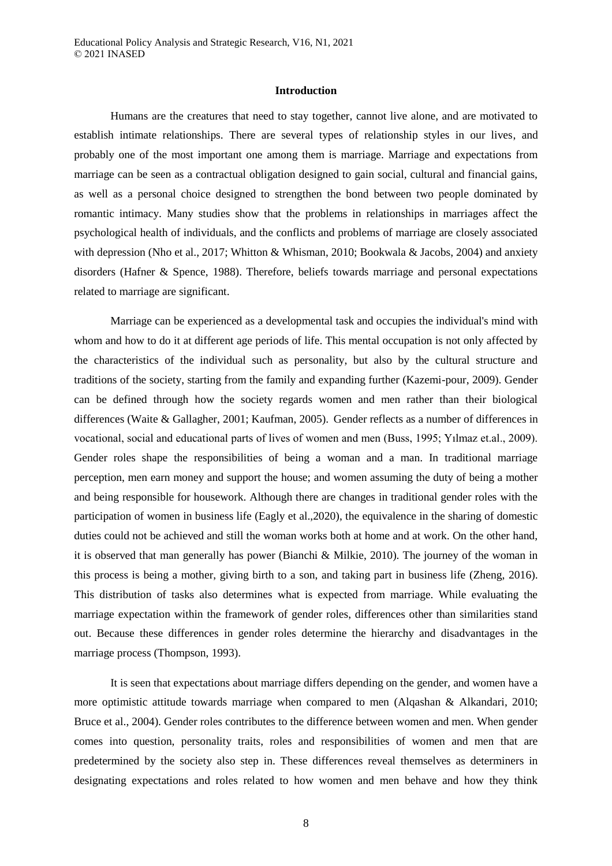#### **Introduction**

Humans are the creatures that need to stay together, cannot live alone, and are motivated to establish intimate relationships. There are several types of relationship styles in our lives, and probably one of the most important one among them is marriage. Marriage and expectations from marriage can be seen as a contractual obligation designed to gain social, cultural and financial gains, as well as a personal choice designed to strengthen the bond between two people dominated by romantic intimacy. Many studies show that the problems in relationships in marriages affect the psychological health of individuals, and the conflicts and problems of marriage are closely associated with depression (Nho et al., 2017; Whitton & Whisman, 2010; Bookwala & Jacobs, 2004) and anxiety disorders (Hafner & Spence, 1988). Therefore, beliefs towards marriage and personal expectations related to marriage are significant.

Marriage can be experienced as a developmental task and occupies the individual's mind with whom and how to do it at different age periods of life. This mental occupation is not only affected by the characteristics of the individual such as personality, but also by the cultural structure and traditions of the society, starting from the family and expanding further (Kazemi-pour, 2009). Gender can be defined through how the society regards women and men rather than their biological differences (Waite & Gallagher, 2001; Kaufman, 2005). Gender reflects as a number of differences in vocational, social and educational parts of lives of women and men (Buss, 1995; Yılmaz et.al., 2009). Gender roles shape the responsibilities of being a woman and a man. In traditional marriage perception, men earn money and support the house; and women assuming the duty of being a mother and being responsible for housework. Although there are changes in traditional gender roles with the participation of women in business life (Eagly et al.,2020), the equivalence in the sharing of domestic duties could not be achieved and still the woman works both at home and at work. On the other hand, it is observed that man generally has power (Bianchi & Milkie, 2010). The journey of the woman in this process is being a mother, giving birth to a son, and taking part in business life (Zheng, 2016). This distribution of tasks also determines what is expected from marriage. While evaluating the marriage expectation within the framework of gender roles, differences other than similarities stand out. Because these differences in gender roles determine the hierarchy and disadvantages in the marriage process (Thompson, 1993).

It is seen that expectations about marriage differs depending on the gender, and women have a more optimistic attitude towards marriage when compared to men (Alqashan & Alkandari, 2010; Bruce et al., 2004). Gender roles contributes to the difference between women and men. When gender comes into question, personality traits, roles and responsibilities of women and men that are predetermined by the society also step in. These differences reveal themselves as determiners in designating expectations and roles related to how women and men behave and how they think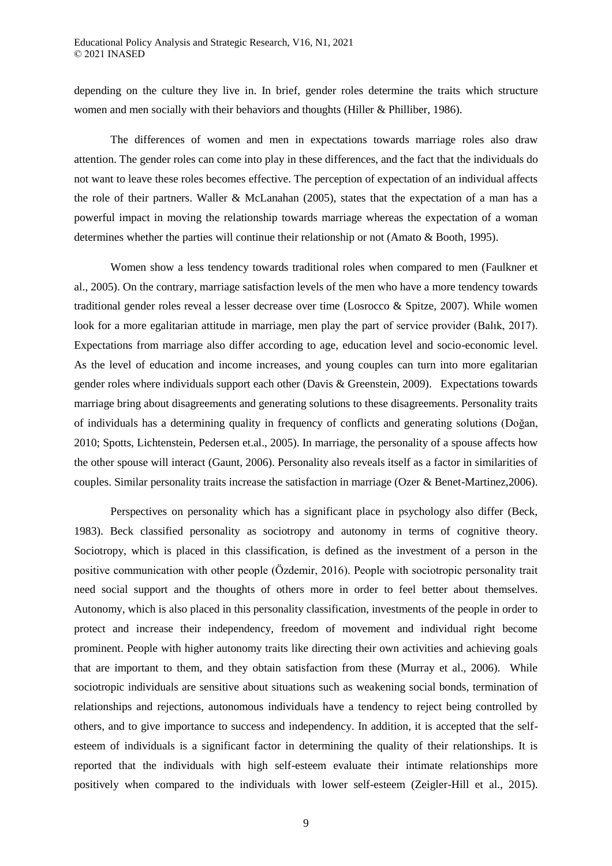depending on the culture they live in. In brief, gender roles determine the traits which structure women and men socially with their behaviors and thoughts (Hiller & Philliber, 1986).

The differences of women and men in expectations towards marriage roles also draw attention. The gender roles can come into play in these differences, and the fact that the individuals do not want to leave these roles becomes effective. The perception of expectation of an individual affects the role of their partners. Waller & McLanahan (2005), states that the expectation of a man has a powerful impact in moving the relationship towards marriage whereas the expectation of a woman determines whether the parties will continue their relationship or not (Amato & Booth, 1995).

Women show a less tendency towards traditional roles when compared to men (Faulkner et al., 2005). On the contrary, marriage satisfaction levels of the men who have a more tendency towards traditional gender roles reveal a lesser decrease over time (Losrocco & Spitze, 2007). While women look for a more egalitarian attitude in marriage, men play the part of service provider (Balık, 2017). Expectations from marriage also differ according to age, education level and socio-economic level. As the level of education and income increases, and young couples can turn into more egalitarian gender roles where individuals support each other (Davis & Greenstein, 2009). Expectations towards marriage bring about disagreements and generating solutions to these disagreements. Personality traits of individuals has a determining quality in frequency of conflicts and generating solutions (Doğan, 2010; Spotts, Lichtenstein, Pedersen et.al., 2005). In marriage, the personality of a spouse affects how the other spouse will interact (Gaunt, 2006). Personality also reveals itself as a factor in similarities of couples. Similar personality traits increase the satisfaction in marriage (Ozer & Benet-Martinez,2006).

Perspectives on personality which has a significant place in psychology also differ (Beck, 1983). Beck classified personality as sociotropy and autonomy in terms of cognitive theory. Sociotropy, which is placed in this classification, is defined as the investment of a person in the positive communication with other people (Özdemir, 2016). People with sociotropic personality trait need social support and the thoughts of others more in order to feel better about themselves. Autonomy, which is also placed in this personality classification, investments of the people in order to protect and increase their independency, freedom of movement and individual right become prominent. People with higher autonomy traits like directing their own activities and achieving goals that are important to them, and they obtain satisfaction from these (Murray et al., 2006). While sociotropic individuals are sensitive about situations such as weakening social bonds, termination of relationships and rejections, autonomous individuals have a tendency to reject being controlled by others, and to give importance to success and independency. In addition, it is accepted that the selfesteem of individuals is a significant factor in determining the quality of their relationships. It is reported that the individuals with high self-esteem evaluate their intimate relationships more positively when compared to the individuals with lower self-esteem (Zeigler-Hill et al., 2015).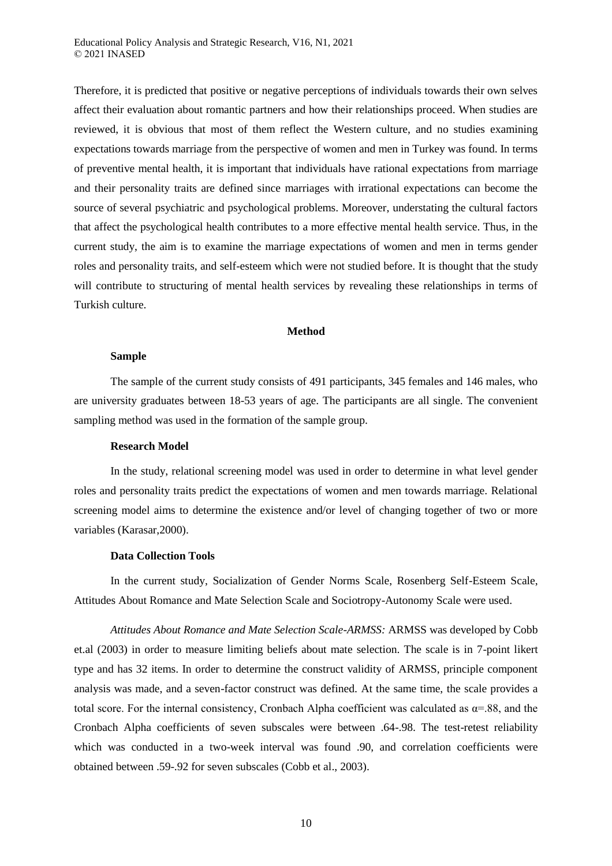Therefore, it is predicted that positive or negative perceptions of individuals towards their own selves affect their evaluation about romantic partners and how their relationships proceed. When studies are reviewed, it is obvious that most of them reflect the Western culture, and no studies examining expectations towards marriage from the perspective of women and men in Turkey was found. In terms of preventive mental health, it is important that individuals have rational expectations from marriage and their personality traits are defined since marriages with irrational expectations can become the source of several psychiatric and psychological problems. Moreover, understating the cultural factors that affect the psychological health contributes to a more effective mental health service. Thus, in the current study, the aim is to examine the marriage expectations of women and men in terms gender roles and personality traits, and self-esteem which were not studied before. It is thought that the study will contribute to structuring of mental health services by revealing these relationships in terms of Turkish culture.

## **Method**

## **Sample**

The sample of the current study consists of 491 participants, 345 females and 146 males, who are university graduates between 18-53 years of age. The participants are all single. The convenient sampling method was used in the formation of the sample group.

#### **Research Model**

In the study, relational screening model was used in order to determine in what level gender roles and personality traits predict the expectations of women and men towards marriage. Relational screening model aims to determine the existence and/or level of changing together of two or more variables (Karasar,2000).

## **Data Collection Tools**

In the current study, Socialization of Gender Norms Scale, Rosenberg Self-Esteem Scale, Attitudes About Romance and Mate Selection Scale and Sociotropy-Autonomy Scale were used.

*Attitudes About Romance and Mate Selection Scale-ARMSS:* ARMSS was developed by Cobb et.al (2003) in order to measure limiting beliefs about mate selection. The scale is in 7-point likert type and has 32 items. In order to determine the construct validity of ARMSS, principle component analysis was made, and a seven-factor construct was defined. At the same time, the scale provides a total score. For the internal consistency, Cronbach Alpha coefficient was calculated as  $\alpha$ =.88, and the Cronbach Alpha coefficients of seven subscales were between .64-.98. The test-retest reliability which was conducted in a two-week interval was found .90, and correlation coefficients were obtained between .59-.92 for seven subscales (Cobb et al., 2003).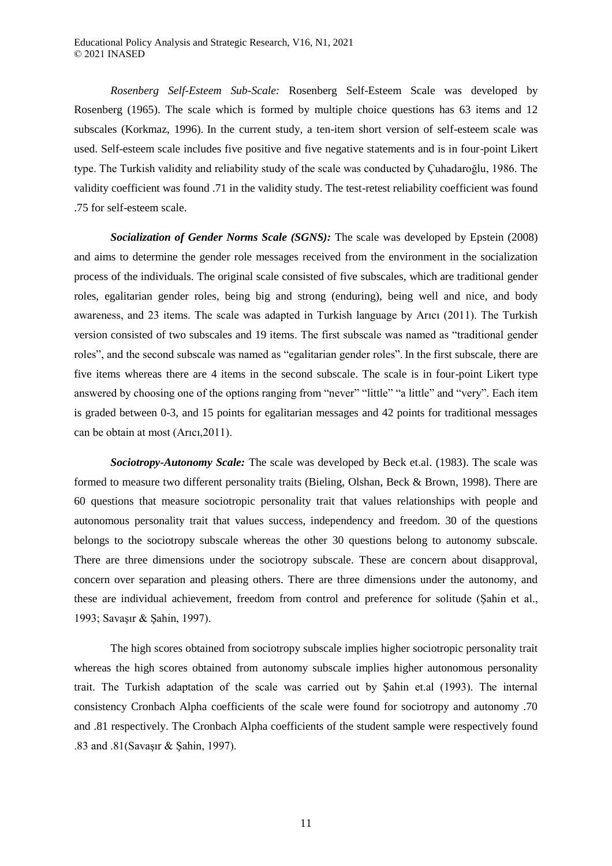*Rosenberg Self-Esteem Sub-Scale:* Rosenberg Self-Esteem Scale was developed by Rosenberg (1965). The scale which is formed by multiple choice questions has 63 items and 12 subscales (Korkmaz, 1996). In the current study, a ten-item short version of self-esteem scale was used. Self-esteem scale includes five positive and five negative statements and is in four-point Likert type. The Turkish validity and reliability study of the scale was conducted by Çuhadaroğlu, 1986. The validity coefficient was found .71 in the validity study. The test-retest reliability coefficient was found .75 for self-esteem scale.

*Socialization of Gender Norms Scale (SGNS):* The scale was developed by Epstein (2008) and aims to determine the gender role messages received from the environment in the socialization process of the individuals. The original scale consisted of five subscales, which are traditional gender roles, egalitarian gender roles, being big and strong (enduring), being well and nice, and body awareness, and 23 items. The scale was adapted in Turkish language by Arıcı (2011). The Turkish version consisted of two subscales and 19 items. The first subscale was named as "traditional gender roles", and the second subscale was named as "egalitarian gender roles". In the first subscale, there are five items whereas there are 4 items in the second subscale. The scale is in four-point Likert type answered by choosing one of the options ranging from "never" "little" "a little" and "very". Each item is graded between 0-3, and 15 points for egalitarian messages and 42 points for traditional messages can be obtain at most (Arıcı,2011).

*Sociotropy-Autonomy Scale:* The scale was developed by Beck et.al. (1983). The scale was formed to measure two different personality traits (Bieling, Olshan, Beck & Brown, 1998). There are 60 questions that measure sociotropic personality trait that values relationships with people and autonomous personality trait that values success, independency and freedom. 30 of the questions belongs to the sociotropy subscale whereas the other 30 questions belong to autonomy subscale. There are three dimensions under the sociotropy subscale. These are concern about disapproval, concern over separation and pleasing others. There are three dimensions under the autonomy, and these are individual achievement, freedom from control and preference for solitude (Şahin et al., 1993; Savaşır & Şahin, 1997).

The high scores obtained from sociotropy subscale implies higher sociotropic personality trait whereas the high scores obtained from autonomy subscale implies higher autonomous personality trait. The Turkish adaptation of the scale was carried out by Şahin et.al (1993). The internal consistency Cronbach Alpha coefficients of the scale were found for sociotropy and autonomy .70 and .81 respectively. The Cronbach Alpha coefficients of the student sample were respectively found .83 and .81(Savaşır & Şahin, 1997).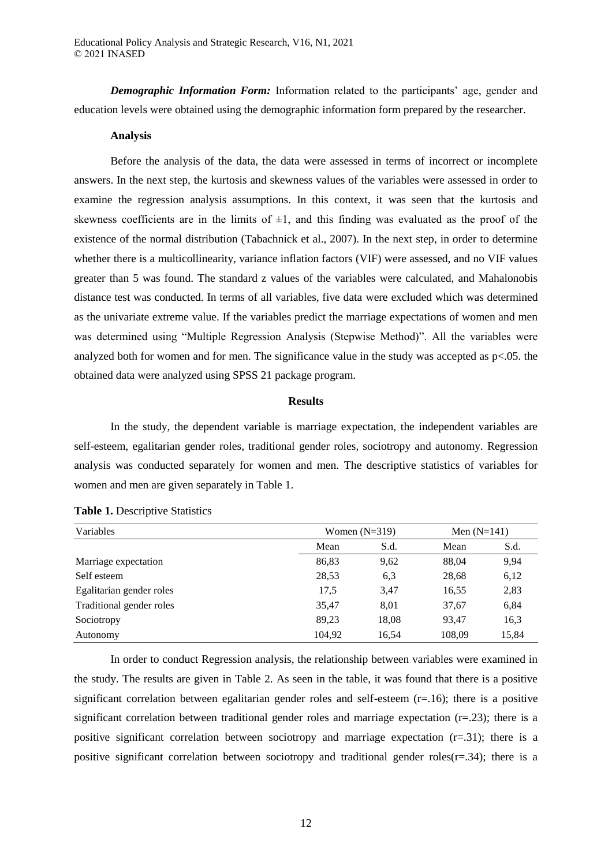*Demographic Information Form:* Information related to the participants' age, gender and education levels were obtained using the demographic information form prepared by the researcher.

#### **Analysis**

Before the analysis of the data, the data were assessed in terms of incorrect or incomplete answers. In the next step, the kurtosis and skewness values of the variables were assessed in order to examine the regression analysis assumptions. In this context, it was seen that the kurtosis and skewness coefficients are in the limits of  $\pm 1$ , and this finding was evaluated as the proof of the existence of the normal distribution (Tabachnick et al., 2007). In the next step, in order to determine whether there is a multicollinearity, variance inflation factors (VIF) were assessed, and no VIF values greater than 5 was found. The standard z values of the variables were calculated, and Mahalonobis distance test was conducted. In terms of all variables, five data were excluded which was determined as the univariate extreme value. If the variables predict the marriage expectations of women and men was determined using "Multiple Regression Analysis (Stepwise Method)". All the variables were analyzed both for women and for men. The significance value in the study was accepted as p<.05. the obtained data were analyzed using SPSS 21 package program.

## **Results**

In the study, the dependent variable is marriage expectation, the independent variables are self-esteem, egalitarian gender roles, traditional gender roles, sociotropy and autonomy. Regression analysis was conducted separately for women and men. The descriptive statistics of variables for women and men are given separately in Table 1.

| Variables                | Women $(N=319)$ | Men $(N=141)$ |        |       |
|--------------------------|-----------------|---------------|--------|-------|
|                          | Mean            | S.d.          | Mean   | S.d.  |
| Marriage expectation     | 86,83           | 9,62          | 88,04  | 9,94  |
| Self esteem              | 28,53           | 6.3           | 28,68  | 6,12  |
| Egalitarian gender roles | 17,5            | 3,47          | 16,55  | 2,83  |
| Traditional gender roles | 35,47           | 8,01          | 37,67  | 6,84  |
| Sociotropy               | 89.23           | 18,08         | 93.47  | 16,3  |
| Autonomy                 | 104.92          | 16,54         | 108,09 | 15,84 |

**Table 1.** Descriptive Statistics

In order to conduct Regression analysis, the relationship between variables were examined in the study. The results are given in Table 2. As seen in the table, it was found that there is a positive significant correlation between egalitarian gender roles and self-esteem  $(r=16)$ ; there is a positive significant correlation between traditional gender roles and marriage expectation  $(r=.23)$ ; there is a positive significant correlation between sociotropy and marriage expectation  $(r=0.31)$ ; there is a positive significant correlation between sociotropy and traditional gender roles( $r=0.34$ ); there is a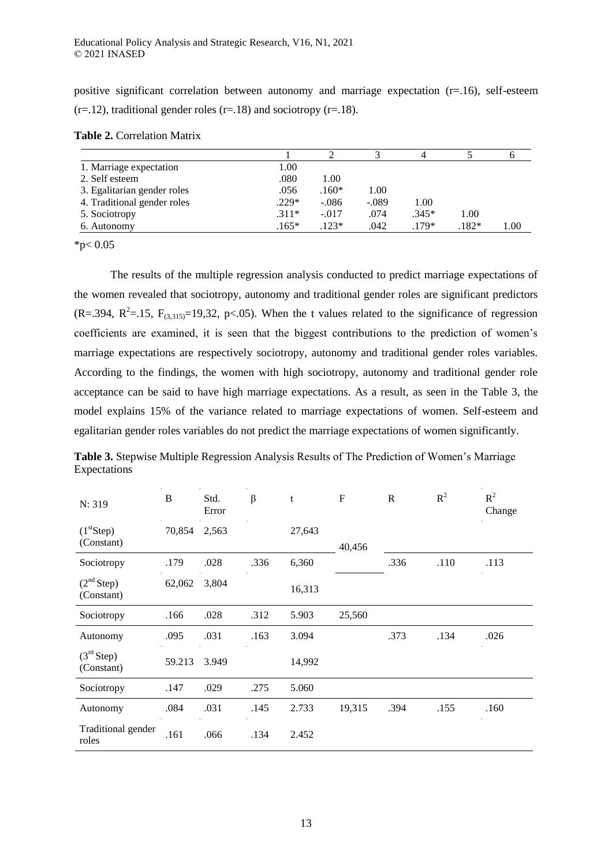positive significant correlation between autonomy and marriage expectation (r=.16), self-esteem  $(r=12)$ , traditional gender roles  $(r=18)$  and sociotropy  $(r=18)$ .

|                             |         |         | 2       | 4       |        |      |
|-----------------------------|---------|---------|---------|---------|--------|------|
| 1. Marriage expectation     | 1.00    |         |         |         |        |      |
| 2. Self esteem              | .080    | 1.00    |         |         |        |      |
| 3. Egalitarian gender roles | .056    | $.160*$ | 1.00    |         |        |      |
| 4. Traditional gender roles | $.229*$ | $-.086$ | $-.089$ | 1.00    |        |      |
| 5. Sociotropy               | $.311*$ | $-.017$ | .074    | $.345*$ | 1.00   |      |
| 6. Autonomy                 | $.165*$ | $.123*$ | .042    | $179*$  | $182*$ | 1.00 |

**Table 2.** Correlation Matrix

 $*p< 0.05$ 

The results of the multiple regression analysis conducted to predict marriage expectations of the women revealed that sociotropy, autonomy and traditional gender roles are significant predictors  $(R=.394, R^2=.15, F<sub>(3,315)</sub> = 19,32, p<.05).$  When the t values related to the significance of regression coefficients are examined, it is seen that the biggest contributions to the prediction of women's marriage expectations are respectively sociotropy, autonomy and traditional gender roles variables. According to the findings, the women with high sociotropy, autonomy and traditional gender role acceptance can be said to have high marriage expectations. As a result, as seen in the Table 3, the model explains 15% of the variance related to marriage expectations of women. Self-esteem and egalitarian gender roles variables do not predict the marriage expectations of women significantly.

| N: 319                               | B      | Std.<br>Error | $\beta$ | t      | $\mathbf{F}$ | $\mathbb{R}$ | $R^2$ | $R^2$<br>Change |
|--------------------------------------|--------|---------------|---------|--------|--------------|--------------|-------|-----------------|
| (1 <sup>st</sup> Step)<br>(Constant) | 70,854 | 2,563         |         | 27,643 | 40,456       |              |       |                 |
| Sociotropy                           | .179   | .028          | .336    | 6,360  |              | .336         | .110  | .113            |
| (2 <sup>nd</sup> Step)<br>(Constant) | 62,062 | 3,804         |         | 16,313 |              |              |       |                 |
| Sociotropy                           | .166   | .028          | .312    | 5.903  | 25,560       |              |       |                 |
| Autonomy                             | .095   | .031          | .163    | 3.094  |              | .373         | .134  | .026            |
| (3 <sup>rd</sup> Step)<br>(Constant) | 59.213 | 3.949         |         | 14,992 |              |              |       |                 |
| Sociotropy                           | .147   | .029          | .275    | 5.060  |              |              |       |                 |
| Autonomy                             | .084   | .031          | .145    | 2.733  | 19,315       | .394         | .155  | .160            |
| Traditional gender<br>roles          | .161   | .066          | .134    | 2.452  |              |              |       |                 |

**Table 3.** Stepwise Multiple Regression Analysis Results of The Prediction of Women's Marriage Expectations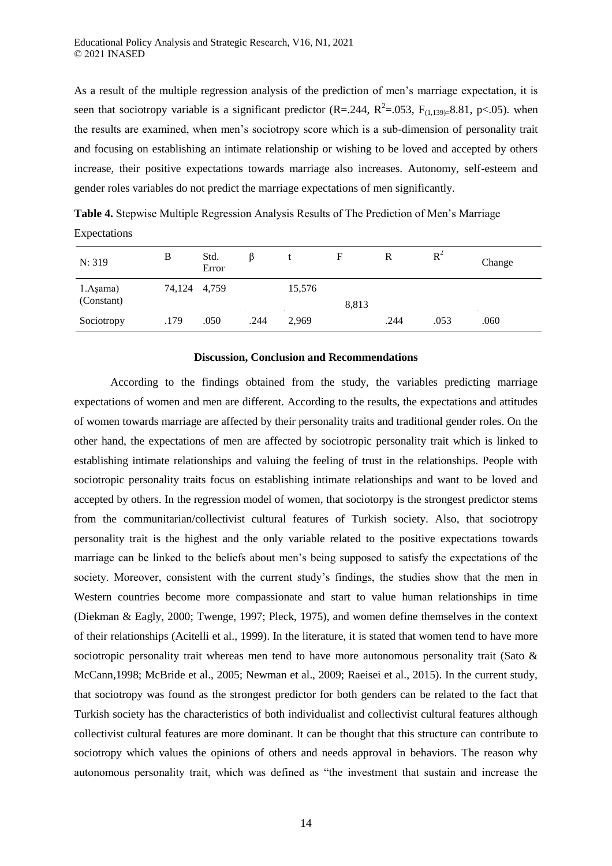As a result of the multiple regression analysis of the prediction of men's marriage expectation, it is seen that sociotropy variable is a significant predictor (R=.244, R<sup>2</sup>=.053, F<sub>(1,139)</sub>=8.81, p<.05). when the results are examined, when men's sociotropy score which is a sub-dimension of personality trait and focusing on establishing an intimate relationship or wishing to be loved and accepted by others increase, their positive expectations towards marriage also increases. Autonomy, self-esteem and gender roles variables do not predict the marriage expectations of men significantly.

| N: 319                 | B            | Std.<br>Error |      |        | F     | R    | $R^2$  | Change |
|------------------------|--------------|---------------|------|--------|-------|------|--------|--------|
| 1.Aşama)<br>(Constant) | 74,124 4,759 |               |      | 15,576 | 8,813 |      | $\sim$ |        |
| Sociotropy             | .179         | .050          | .244 | 2,969  |       | .244 | .053   | .060   |

**Table 4.** Stepwise Multiple Regression Analysis Results of The Prediction of Men's Marriage Expectations

#### **Discussion, Conclusion and Recommendations**

According to the findings obtained from the study, the variables predicting marriage expectations of women and men are different. According to the results, the expectations and attitudes of women towards marriage are affected by their personality traits and traditional gender roles. On the other hand, the expectations of men are affected by sociotropic personality trait which is linked to establishing intimate relationships and valuing the feeling of trust in the relationships. People with sociotropic personality traits focus on establishing intimate relationships and want to be loved and accepted by others. In the regression model of women, that sociotorpy is the strongest predictor stems from the communitarian/collectivist cultural features of Turkish society. Also, that sociotropy personality trait is the highest and the only variable related to the positive expectations towards marriage can be linked to the beliefs about men's being supposed to satisfy the expectations of the society. Moreover, consistent with the current study's findings, the studies show that the men in Western countries become more compassionate and start to value human relationships in time (Diekman & Eagly, 2000; Twenge, 1997; Pleck, 1975), and women define themselves in the context of their relationships (Acitelli et al., 1999). In the literature, it is stated that women tend to have more sociotropic personality trait whereas men tend to have more autonomous personality trait (Sato & McCann,1998; McBride et al., 2005; Newman et al., 2009; Raeisei et al., 2015). In the current study, that sociotropy was found as the strongest predictor for both genders can be related to the fact that Turkish society has the characteristics of both individualist and collectivist cultural features although collectivist cultural features are more dominant. It can be thought that this structure can contribute to sociotropy which values the opinions of others and needs approval in behaviors. The reason why autonomous personality trait, which was defined as "the investment that sustain and increase the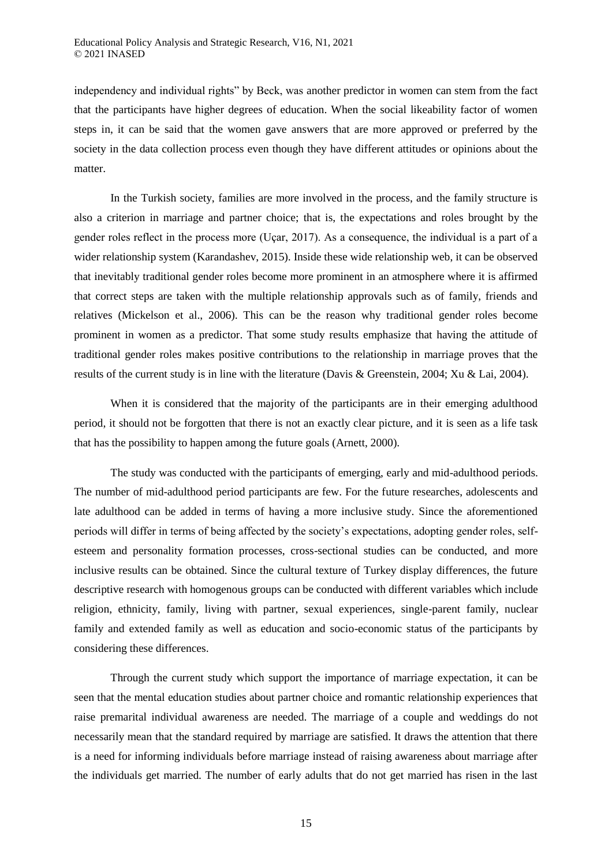independency and individual rights" by Beck, was another predictor in women can stem from the fact that the participants have higher degrees of education. When the social likeability factor of women steps in, it can be said that the women gave answers that are more approved or preferred by the society in the data collection process even though they have different attitudes or opinions about the matter.

In the Turkish society, families are more involved in the process, and the family structure is also a criterion in marriage and partner choice; that is, the expectations and roles brought by the gender roles reflect in the process more (Uçar, 2017). As a consequence, the individual is a part of a wider relationship system (Karandashev, 2015). Inside these wide relationship web, it can be observed that inevitably traditional gender roles become more prominent in an atmosphere where it is affirmed that correct steps are taken with the multiple relationship approvals such as of family, friends and relatives (Mickelson et al., 2006). This can be the reason why traditional gender roles become prominent in women as a predictor. That some study results emphasize that having the attitude of traditional gender roles makes positive contributions to the relationship in marriage proves that the results of the current study is in line with the literature (Davis & Greenstein, 2004; Xu & Lai, 2004).

When it is considered that the majority of the participants are in their emerging adulthood period, it should not be forgotten that there is not an exactly clear picture, and it is seen as a life task that has the possibility to happen among the future goals (Arnett, 2000).

The study was conducted with the participants of emerging, early and mid-adulthood periods. The number of mid-adulthood period participants are few. For the future researches, adolescents and late adulthood can be added in terms of having a more inclusive study. Since the aforementioned periods will differ in terms of being affected by the society's expectations, adopting gender roles, selfesteem and personality formation processes, cross-sectional studies can be conducted, and more inclusive results can be obtained. Since the cultural texture of Turkey display differences, the future descriptive research with homogenous groups can be conducted with different variables which include religion, ethnicity, family, living with partner, sexual experiences, single-parent family, nuclear family and extended family as well as education and socio-economic status of the participants by considering these differences.

Through the current study which support the importance of marriage expectation, it can be seen that the mental education studies about partner choice and romantic relationship experiences that raise premarital individual awareness are needed. The marriage of a couple and weddings do not necessarily mean that the standard required by marriage are satisfied. It draws the attention that there is a need for informing individuals before marriage instead of raising awareness about marriage after the individuals get married. The number of early adults that do not get married has risen in the last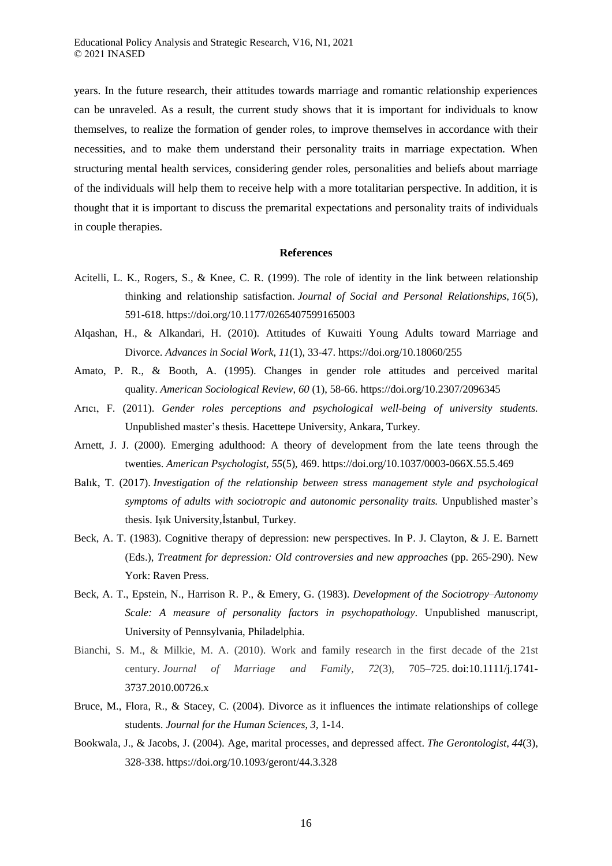years. In the future research, their attitudes towards marriage and romantic relationship experiences can be unraveled. As a result, the current study shows that it is important for individuals to know themselves, to realize the formation of gender roles, to improve themselves in accordance with their necessities, and to make them understand their personality traits in marriage expectation. When structuring mental health services, considering gender roles, personalities and beliefs about marriage of the individuals will help them to receive help with a more totalitarian perspective. In addition, it is thought that it is important to discuss the premarital expectations and personality traits of individuals in couple therapies.

#### **References**

- Acitelli, L. K., Rogers, S., & Knee, C. R. (1999). The role of identity in the link between relationship thinking and relationship satisfaction. *Journal of Social and Personal Relationships*, *16*(5), 591-618. https://doi.org/10.1177/0265407599165003
- Alqashan, H., & Alkandari, H. (2010). Attitudes of Kuwaiti Young Adults toward Marriage and Divorce. *Advances in Social Work*, *11*(1), 33-47. https://doi.org/10.18060/255
- Amato, P. R., & Booth, A. (1995). Changes in gender role attitudes and perceived marital quality. *American Sociological Review*, *60* (1), 58-66. https://doi.org/10.2307/2096345
- Arıcı, F. (2011). *Gender roles perceptions and psychological well-being of university students.* Unpublished master's thesis. Hacettepe University, Ankara, Turkey.
- Arnett, J. J. (2000). Emerging adulthood: A theory of development from the late teens through the twenties. *American Psychologist*, *55*(5), 469. https://doi.org/10.1037/0003-066X.55.5.469
- Balık, T. (2017). *Investigation of the relationship between stress management style and psychological symptoms of adults with sociotropic and autonomic personality traits.* Unpublished master's thesis. Işık University,İstanbul, Turkey.
- Beck, A. T. (1983). Cognitive therapy of depression: new perspectives. In P. J. Clayton, & J. E. Barnett (Eds.), *Treatment for depression: Old controversies and new approaches* (pp. 265-290). New York: Raven Press.
- Beck, A. T., Epstein, N., Harrison R. P., & Emery, G. (1983). *Development of the Sociotropy–Autonomy Scale: A measure of personality factors in psychopathology*. Unpublished manuscript, University of Pennsylvania, Philadelphia.
- Bianchi, S. M., & Milkie, M. A. (2010). Work and family research in the first decade of the 21st century. *Journal of Marriage and Family, 72*(3), 705–725. [doi:10.1111/j.1741-](https://psycnet.apa.org/doi/10.1111/j.1741-3737.2010.00726.x) [3737.2010.00726.x](https://psycnet.apa.org/doi/10.1111/j.1741-3737.2010.00726.x)
- Bruce, M., Flora, R., & Stacey, C. (2004). Divorce as it influences the intimate relationships of college students. *Journal for the Human Sciences*, *3*, 1-14.
- Bookwala, J., & Jacobs, J. (2004). Age, marital processes, and depressed affect. *The Gerontologist*, *44*(3), 328-338. https://doi.org/10.1093/geront/44.3.328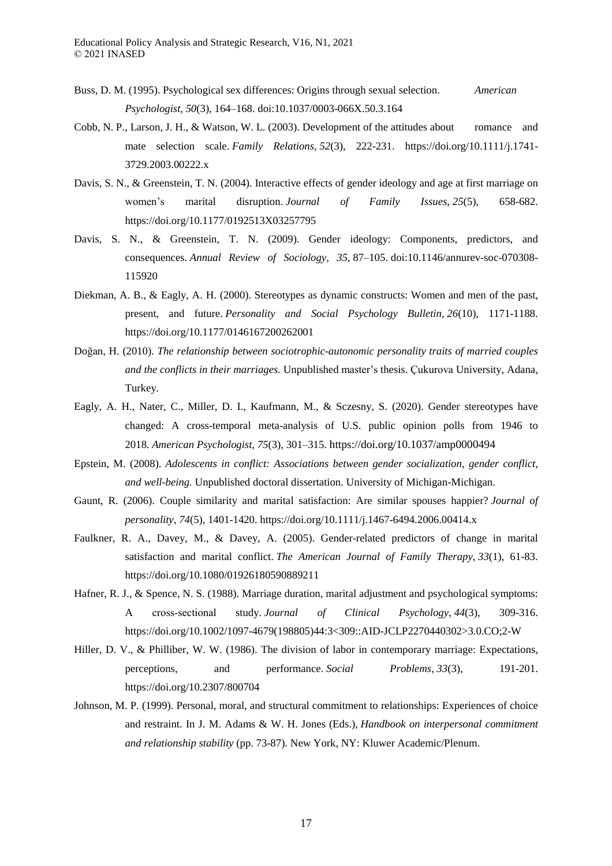- Buss, D. M. (1995). Psychological sex differences: Origins through sexual selection. *American Psychologist, 50*(3), 164–168. doi:10.1037/0003-066X.50.3.164
- Cobb, N. P., Larson, J. H., & Watson, W. L. (2003). Development of the attitudes about romance and mate selection scale. *Family Relations*, *52*(3), 222-231. https://doi.org/10.1111/j.1741- 3729.2003.00222.x
- Davis, S. N., & Greenstein, T. N. (2004). Interactive effects of gender ideology and age at first marriage on women's marital disruption. *Journal of Family Issues*, *25*(5), 658-682. https://doi.org/10.1177/0192513X03257795
- Davis, S. N., & Greenstein, T. N. (2009). Gender ideology: Components, predictors, and consequences. *Annual Review of Sociology, 35,* 87–105. [doi:10.1146/annurev-soc-070308-](https://psycnet.apa.org/doi/10.1146/annurev-soc-070308-115920) [115920](https://psycnet.apa.org/doi/10.1146/annurev-soc-070308-115920)
- Diekman, A. B., & Eagly, A. H. (2000). Stereotypes as dynamic constructs: Women and men of the past, present, and future. *Personality and Social Psychology Bulletin*, *26*(10), 1171-1188. https://doi.org/10.1177/0146167200262001
- Doğan, H. (2010). *The relationship between sociotrophic-autonomic personality traits of married couples and the conflicts in their marriages.* Unpublished master's thesis. Çukurova University, Adana, Turkey.
- Eagly, A. H., Nater, C., Miller, D. I., Kaufmann, M., & Sczesny, S. (2020). Gender stereotypes have changed: A cross-temporal meta-analysis of U.S. public opinion polls from 1946 to 2018. *American Psychologist, 75*(3), 301–315. https://doi.org/10.1037/amp0000494
- Epstein, M. (2008). *Adolescents in conflict: Associations between gender socialization, gender conflict, and well-being.* Unpublished doctoral dissertation. University of Michigan-Michigan.
- Gaunt, R. (2006). Couple similarity and marital satisfaction: Are similar spouses happier? *Journal of personality*, *74*(5), 1401-1420. https://doi.org/10.1111/j.1467-6494.2006.00414.x
- Faulkner, R. A., Davey, M., & Davey, A. (2005). Gender-related predictors of change in marital satisfaction and marital conflict. *The American Journal of Family Therapy*, *33*(1), 61-83. https://doi.org/10.1080/01926180590889211
- Hafner, R. J., & Spence, N. S. (1988). Marriage duration, marital adjustment and psychological symptoms: A cross‐sectional study. *Journal of Clinical Psychology*, *44*(3), 309-316. https://doi.org/10.1002/1097-4679(198805)44:3<309::AID-JCLP2270440302>3.0.CO;2-W
- Hiller, D. V., & Philliber, W. W. (1986). The division of labor in contemporary marriage: Expectations, perceptions, and performance. *Social Problems*, *33*(3), 191-201. https://doi.org/10.2307/800704
- Johnson, M. P. (1999). Personal, moral, and structural commitment to relationships: Experiences of choice and restraint. In J. M. Adams & W. H. Jones (Eds.), *Handbook on interpersonal commitment and relationship stability* (pp. 73-87). New York, NY: Kluwer Academic/Plenum.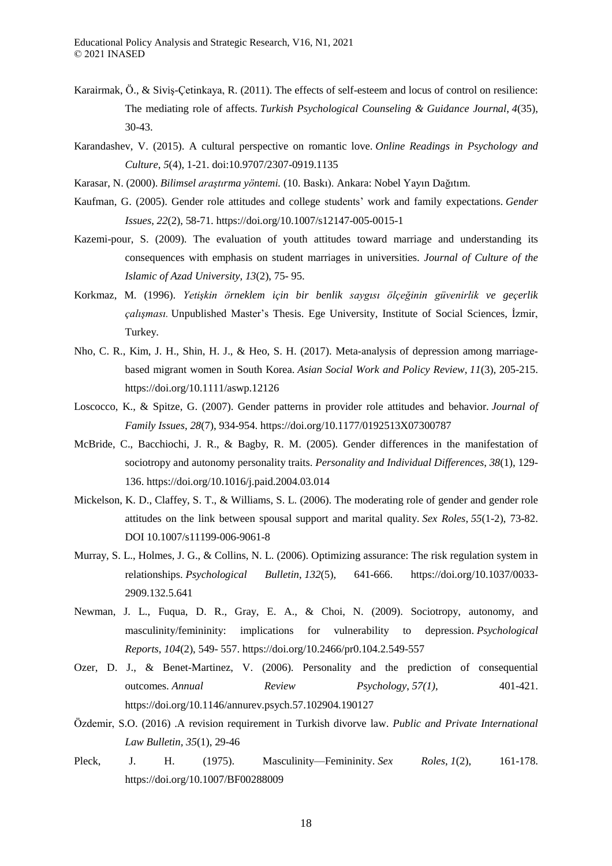- Karairmak, Ö., & Siviş-Çetinkaya, R. (2011). The effects of self-esteem and locus of control on resilience: The mediating role of affects. *Turkish Psychological Counseling & Guidance Journal*, *4*(35), 30-43.
- Karandashev, V. (2015). A cultural perspective on romantic love. *Online Readings in Psychology and Culture*, *5*(4), 1-21. doi:10.9707/2307-0919.1135
- Karasar, N. (2000). *Bilimsel araştırma yöntemi.* (10. Baskı). Ankara: Nobel Yayın Dağıtım.
- Kaufman, G. (2005). Gender role attitudes and college students' work and family expectations. *Gender Issues*, *22*(2), 58-71. https://doi.org/10.1007/s12147-005-0015-1
- Kazemi-pour, S. (2009). The evaluation of youth attitudes toward marriage and understanding its consequences with emphasis on student marriages in universities. *Journal of Culture of the Islamic of Azad University, 13*(2), 75- 95.
- Korkmaz, M. (1996). *Yetişkin örneklem için bir benlik saygısı ölçeğinin güvenirlik ve geçerlik çalışması.* Unpublished Master's Thesis. Ege University, Institute of Social Sciences, İzmir, Turkey.
- Nho, C. R., Kim, J. H., Shin, H. J., & Heo, S. H. (2017). Meta-analysis of depression among marriagebased migrant women in South Korea. *Asian Social Work and Policy Review*, *11*(3), 205-215. https://doi.org/10.1111/aswp.12126
- Loscocco, K., & Spitze, G. (2007). Gender patterns in provider role attitudes and behavior. *Journal of Family Issues*, *28*(7), 934-954. https://doi.org/10.1177/0192513X07300787
- McBride, C., Bacchiochi, J. R., & Bagby, R. M. (2005). Gender differences in the manifestation of sociotropy and autonomy personality traits. *Personality and Individual Differences*, *38*(1), 129- 136. https://doi.org/10.1016/j.paid.2004.03.014
- Mickelson, K. D., Claffey, S. T., & Williams, S. L. (2006). The moderating role of gender and gender role attitudes on the link between spousal support and marital quality. *Sex Roles*, *55*(1-2), 73-82. DOI 10.1007/s11199-006-9061-8
- Murray, S. L., Holmes, J. G., & Collins, N. L. (2006). Optimizing assurance: The risk regulation system in relationships. *Psychological Bulletin*, *132*(5), 641-666. https://doi.org/10.1037/0033- 2909.132.5.641
- Newman, J. L., Fuqua, D. R., Gray, E. A., & Choi, N. (2009). Sociotropy, autonomy, and masculinity/femininity: implications for vulnerability to depression. *Psychological Reports*, *104*(2), 549- 557. https://doi.org/10.2466/pr0.104.2.549-557
- Ozer, D. J., & Benet-Martinez, V. (2006). Personality and the prediction of consequential outcomes. *Annual Review Psychology*, *57(1)*, 401-421. https://doi.org/10.1146/annurev.psych.57.102904.190127
- Özdemir, S.O. (2016) .A revision requirement in Turkish divorve law. *Public and Private International Law Bulletin, 35*(1), 29-46
- Pleck, J. H. (1975). Masculinity—Femininity. *Sex Roles*, *1*(2), 161-178. https://doi.org/10.1007/BF00288009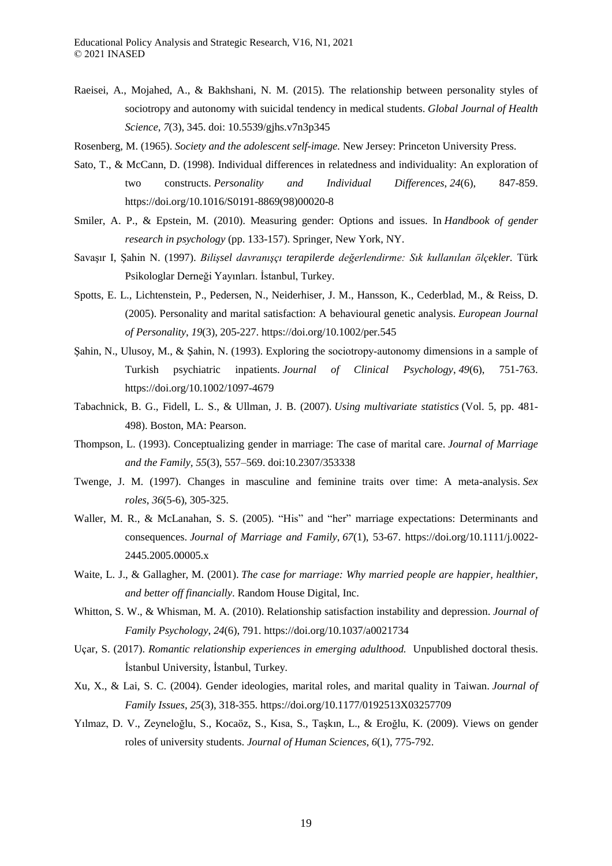- Raeisei, A., Mojahed, A., & Bakhshani, N. M. (2015). The relationship between personality styles of sociotropy and autonomy with suicidal tendency in medical students. *Global Journal of Health Science*, *7*(3), 345. doi: 10.5539/gjhs.v7n3p345
- Rosenberg, M. (1965). *Society and the adolescent self-image.* New Jersey: Princeton University Press.
- Sato, T., & McCann, D. (1998). Individual differences in relatedness and individuality: An exploration of two constructs. *Personality and Individual Differences*, *24*(6), 847-859. https://doi.org/10.1016/S0191-8869(98)00020-8
- Smiler, A. P., & Epstein, M. (2010). Measuring gender: Options and issues. In *Handbook of gender research in psychology* (pp. 133-157). Springer, New York, NY.
- Savaşır I, Şahin N. (1997). *Bilişsel davranışçı terapilerde değerlendirme: Sık kullanılan ölçekler.* Türk Psikologlar Derneği Yayınları. İstanbul, Turkey.
- Spotts, E. L., Lichtenstein, P., Pedersen, N., Neiderhiser, J. M., Hansson, K., Cederblad, M., & Reiss, D. (2005). Personality and marital satisfaction: A behavioural genetic analysis. *European Journal of Personality*, *19*(3), 205-227. https://doi.org/10.1002/per.545
- Şahin, N., Ulusoy, M., & Şahin, N. (1993). Exploring the sociotropy‐autonomy dimensions in a sample of Turkish psychiatric inpatients. *Journal of Clinical Psychology*, *49*(6), 751-763. https://doi.org/10.1002/1097-4679
- Tabachnick, B. G., Fidell, L. S., & Ullman, J. B. (2007). *Using multivariate statistics* (Vol. 5, pp. 481- 498). Boston, MA: Pearson.
- Thompson, L. (1993). Conceptualizing gender in marriage: The case of marital care. *Journal of Marriage and the Family, 55*(3), 557–569. [doi:10.2307/353338](https://psycnet.apa.org/doi/10.2307/353338)
- Twenge, J. M. (1997). Changes in masculine and feminine traits over time: A meta-analysis. *Sex roles*, *36*(5-6), 305-325.
- Waller, M. R., & McLanahan, S. S. (2005). "His" and "her" marriage expectations: Determinants and consequences. *Journal of Marriage and Family*, *67*(1), 53-67. https://doi.org/10.1111/j.0022- 2445.2005.00005.x
- Waite, L. J., & Gallagher, M. (2001). *The case for marriage: Why married people are happier, healthier, and better off financially*. Random House Digital, Inc.
- Whitton, S. W., & Whisman, M. A. (2010). Relationship satisfaction instability and depression. *Journal of Family Psychology*, *24*(6), 791. https://doi.org/10.1037/a0021734
- Uçar, S. (2017). *Romantic relationship experiences in emerging adulthood.* Unpublished doctoral thesis. İstanbul University, İstanbul, Turkey.
- Xu, X., & Lai, S. C. (2004). Gender ideologies, marital roles, and marital quality in Taiwan. *Journal of Family Issues*, *25*(3), 318-355. https://doi.org/10.1177/0192513X03257709
- Yılmaz, D. V., Zeyneloğlu, S., Kocaöz, S., Kısa, S., Taşkın, L., & Eroğlu, K. (2009). Views on gender roles of university students. *Journal of Human Sciences*, *6*(1), 775-792.